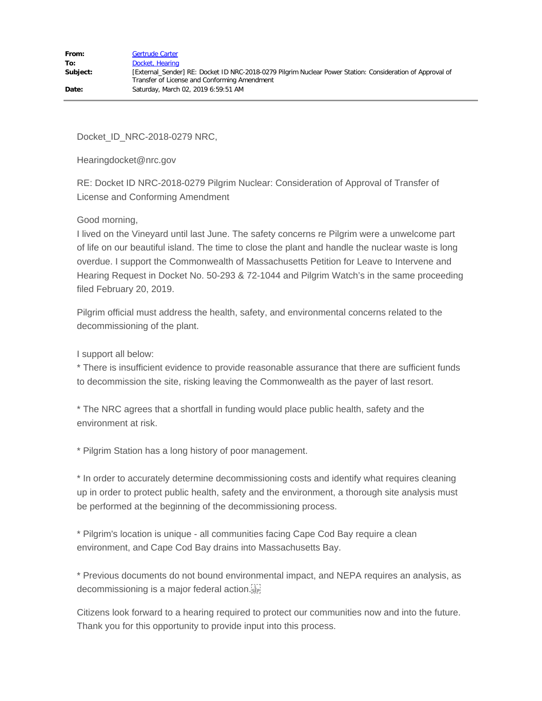Docket\_ID\_NRC-2018-0279 NRC,

Hearingdocket@nrc.gov

RE: Docket ID NRC-2018-0279 Pilgrim Nuclear: Consideration of Approval of Transfer of License and Conforming Amendment

## Good morning,

I lived on the Vineyard until last June. The safety concerns re Pilgrim were a unwelcome part of life on our beautiful island. The time to close the plant and handle the nuclear waste is long overdue. I support the Commonwealth of Massachusetts Petition for Leave to Intervene and Hearing Request in Docket No. 50-293 & 72-1044 and Pilgrim Watch's in the same proceeding filed February 20, 2019.

Pilgrim official must address the health, safety, and environmental concerns related to the decommissioning of the plant.

I support all below:

\* There is insufficient evidence to provide reasonable assurance that there are sufficient funds to decommission the site, risking leaving the Commonwealth as the payer of last resort.

\* The NRC agrees that a shortfall in funding would place public health, safety and the environment at risk.

\* Pilgrim Station has a long history of poor management.

\* In order to accurately determine decommissioning costs and identify what requires cleaning up in order to protect public health, safety and the environment, a thorough site analysis must be performed at the beginning of the decommissioning process.

\* Pilgrim's location is unique - all communities facing Cape Cod Bay require a clean environment, and Cape Cod Bay drains into Massachusetts Bay.

\* Previous documents do not bound environmental impact, and NEPA requires an analysis, as decommissioning is a major federal action.

Citizens look forward to a hearing required to protect our communities now and into the future. Thank you for this opportunity to provide input into this process.